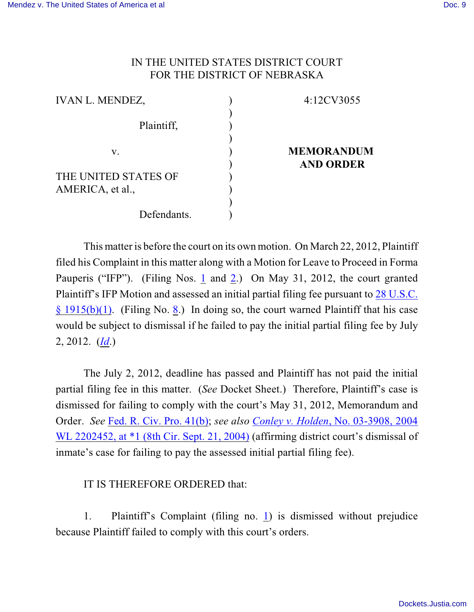## IN THE UNITED STATES DISTRICT COURT FOR THE DISTRICT OF NEBRASKA

| <b>IVAN L. MENDEZ,</b> | 4:12CV3055        |
|------------------------|-------------------|
|                        |                   |
| Plaintiff,             |                   |
|                        |                   |
| V.                     | <b>MEMORANDUM</b> |
|                        | <b>AND ORDER</b>  |
| THE UNITED STATES OF   |                   |
| AMERICA, et al.,       |                   |
|                        |                   |
| Defendants.            |                   |

This matter is before the court on its own motion. On March 22, 2012, Plaintiff filed his Complaint in this matter along with a Motion for Leave to Proceed in Forma Pauperis ("IFP"). (Filing Nos. [1](https://ecf.ned.uscourts.gov/doc1/11312487344) and [2](https://ecf.ned.uscourts.gov/doc1/11312487350).) On May 31, 2012, the court granted Plaintiff's IFP Motion and assessed an initial partial filing fee pursuant to [28 U.S.C.](http://web2.westlaw.com/find/default.wl?rs=WLW9.11&ifm=NotSet&fn=_top&sv=Split&cite=28+U.S.C.+%c2%a7+1915(b)(1)&vr=2.0&rp=%2ffind%2fdefault.wl&mt=26) [§ 1915\(b\)\(1\)](http://web2.westlaw.com/find/default.wl?rs=WLW9.11&ifm=NotSet&fn=_top&sv=Split&cite=28+U.S.C.+%c2%a7+1915(b)(1)&vr=2.0&rp=%2ffind%2fdefault.wl&mt=26). (Filing No. [8](https://ecf.ned.uscourts.gov/doc1/11312536579).) In doing so, the court warned Plaintiff that his case would be subject to dismissal if he failed to pay the initial partial filing fee by July 2, 2012. (*[Id](https://ecf.ned.uscourts.gov/doc1/11312536579)*.)

The July 2, 2012, deadline has passed and Plaintiff has not paid the initial partial filing fee in this matter. (*See* Docket Sheet.) Therefore, Plaintiff's case is dismissed for failing to comply with the court's May 31, 2012, Memorandum and Order. *See* [Fed. R. Civ. Pro. 41\(b\)](http://web2.westlaw.com/find/default.wl?rs=WLW9.11&ifm=NotSet&fn=_top&sv=Split&cite=Fed.+R.+Civ.+P.+41&vr=2.0&rp=%2ffind%2fdefault.wl&mt=26); *see also [Conley v. Holden](http://web2.westlaw.com/find/default.wl?rs=WLW9.11&ifm=NotSet&fn=_top&sv=Split&cite=2004+WL+2202452&vr=2.0&rp=%2ffind%2fdefault.wl&mt=Westlaw)*, No. 03-3908, 2004 [WL 2202452, at \\*1 \(8th](http://web2.westlaw.com/find/default.wl?rs=WLW9.11&ifm=NotSet&fn=_top&sv=Split&cite=2004+WL+2202452&vr=2.0&rp=%2ffind%2fdefault.wl&mt=Westlaw) Cir. Sept. 21, 2004) (affirming district court's dismissal of inmate's case for failing to pay the assessed initial partial filing fee).

## IT IS THEREFORE ORDERED that:

1. Plaintiff's Complaint (filing no. [1](https://ecf.ned.uscourts.gov/doc1/11312487344)) is dismissed without prejudice because Plaintiff failed to comply with this court's orders.